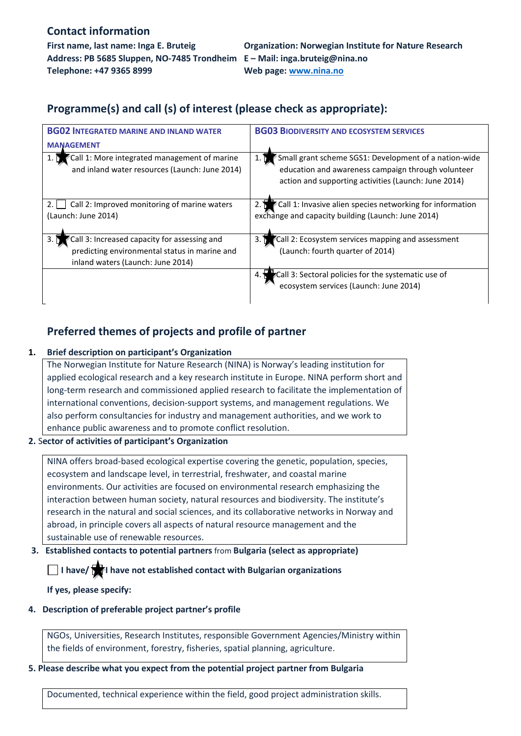### **Contact information**

**Address: PB 5685 Sluppen, NO-7485 Trondheim E – Mail: inga.bruteig@nina.no Telephone: +47 9365 8999 Web page: [www.nina.no](http://www.nina.no/)**

**First name, last name: Inga E. Bruteig Organization: Norwegian Institute for Nature Research**

# **Programme(s) and call (s) of interest (please check as appropriate):**

| <b>BG02 INTEGRATED MARINE AND INLAND WATER</b>                                                                                             | <b>BG03 BIODIVERSITY AND ECOSYSTEM SERVICES</b>                                                                                                                                           |
|--------------------------------------------------------------------------------------------------------------------------------------------|-------------------------------------------------------------------------------------------------------------------------------------------------------------------------------------------|
| <b>MANAGEMENT</b>                                                                                                                          |                                                                                                                                                                                           |
| Call 1: More integrated management of marine<br>and inland water resources (Launch: June 2014)                                             | Small grant scheme SGS1: Development of a nation-wide<br>$1. \, \mathrm{M}$<br>education and awareness campaign through volunteer<br>action and supporting activities (Launch: June 2014) |
| Call 2: Improved monitoring of marine waters<br>2.1<br>(Launch: June 2014)                                                                 | Call 1: Invasive alien species networking for information<br>exchange and capacity building (Launch: June 2014)                                                                           |
| Call 3: Increased capacity for assessing and<br>3. N<br>predicting environmental status in marine and<br>inland waters (Launch: June 2014) | Call 2: Ecosystem services mapping and assessment<br>(Launch: fourth quarter of 2014)                                                                                                     |
|                                                                                                                                            | Call 3: Sectoral policies for the systematic use of<br>ecosystem services (Launch: June 2014)                                                                                             |

# **Preferred themes of projects and profile of partner**

### **1. Brief description on participant's Organization**

The Norwegian Institute for Nature Research (NINA) is Norway's leading institution for applied ecological research and a key research institute in Europe. NINA perform short and long-term research and commissioned applied research to facilitate the implementation of international conventions, decision-support systems, and management regulations. We also perform consultancies for industry and management authorities, and we work to enhance public awareness and to promote conflict resolution.

#### **2.** S**ector of activities of participant's Organization**

NINA offers broad-based ecological expertise covering the genetic, population, species, ecosystem and landscape level, in terrestrial, freshwater, and coastal marine environments. Our activities are focused on environmental research emphasizing the interaction between human society, natural resources and biodiversity. The institute's research in the natural and social sciences, and its collaborative networks in Norway and abroad, in principle covers all aspects of natural resource management and the sustainable use of renewable resources.

#### **3. Established contacts to potential partners** from **Bulgaria (select as appropriate)**

**I have/** I have not established contact with Bulgarian organizations

**If yes, please specify:**

#### **4. Description of preferable project partner's profile**

NGOs, Universities, Research Institutes, responsible Government Agencies/Ministry within the fields of environment, forestry, fisheries, spatial planning, agriculture.

#### **5. Please describe what you expect from the potential project partner from Bulgaria**

Documented, technical experience within the field, good project administration skills.